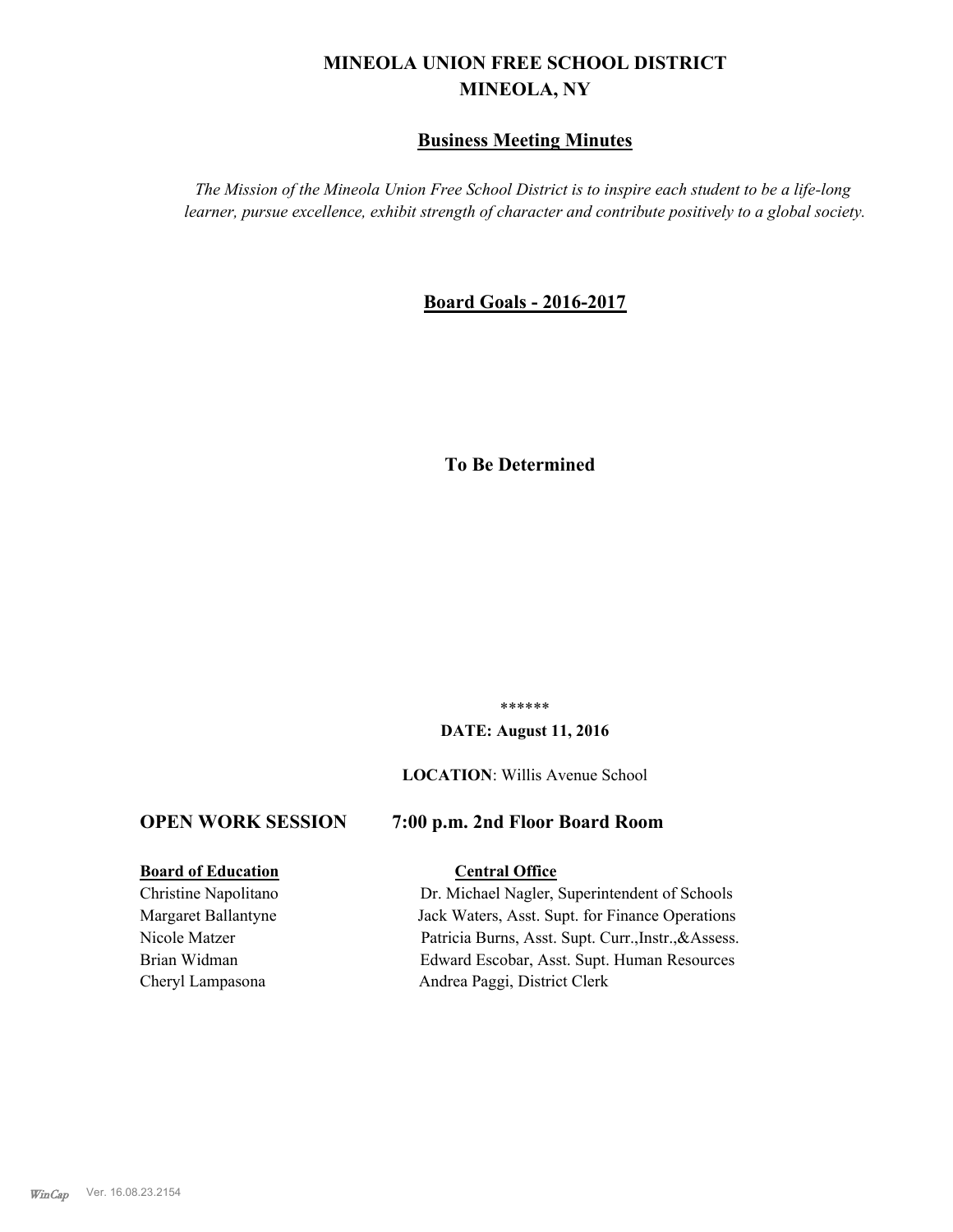# **MINEOLA UNION FREE SCHOOL DISTRICT MINEOLA, NY**

### **Business Meeting Minutes**

*The Mission of the Mineola Union Free School District is to inspire each student to be a life-long learner, pursue excellence, exhibit strength of character and contribute positively to a global society.*

### **Board Goals - 2016-2017**

# **To Be Determined**

\*\*\*\*\*\*

#### **DATE: August 11, 2016**

**LOCATION**: Willis Avenue School

#### **OPEN WORK SESSION 7:00 p.m. 2nd Floor Board Room**

# **Board of Education Central Office**

Christine Napolitano Dr. Michael Nagler, Superintendent of Schools Margaret Ballantyne Jack Waters, Asst. Supt. for Finance Operations Nicole Matzer Patricia Burns, Asst. Supt. Curr.,Instr.,&Assess. Brian Widman Edward Escobar, Asst. Supt. Human Resources Cheryl Lampasona Andrea Paggi, District Clerk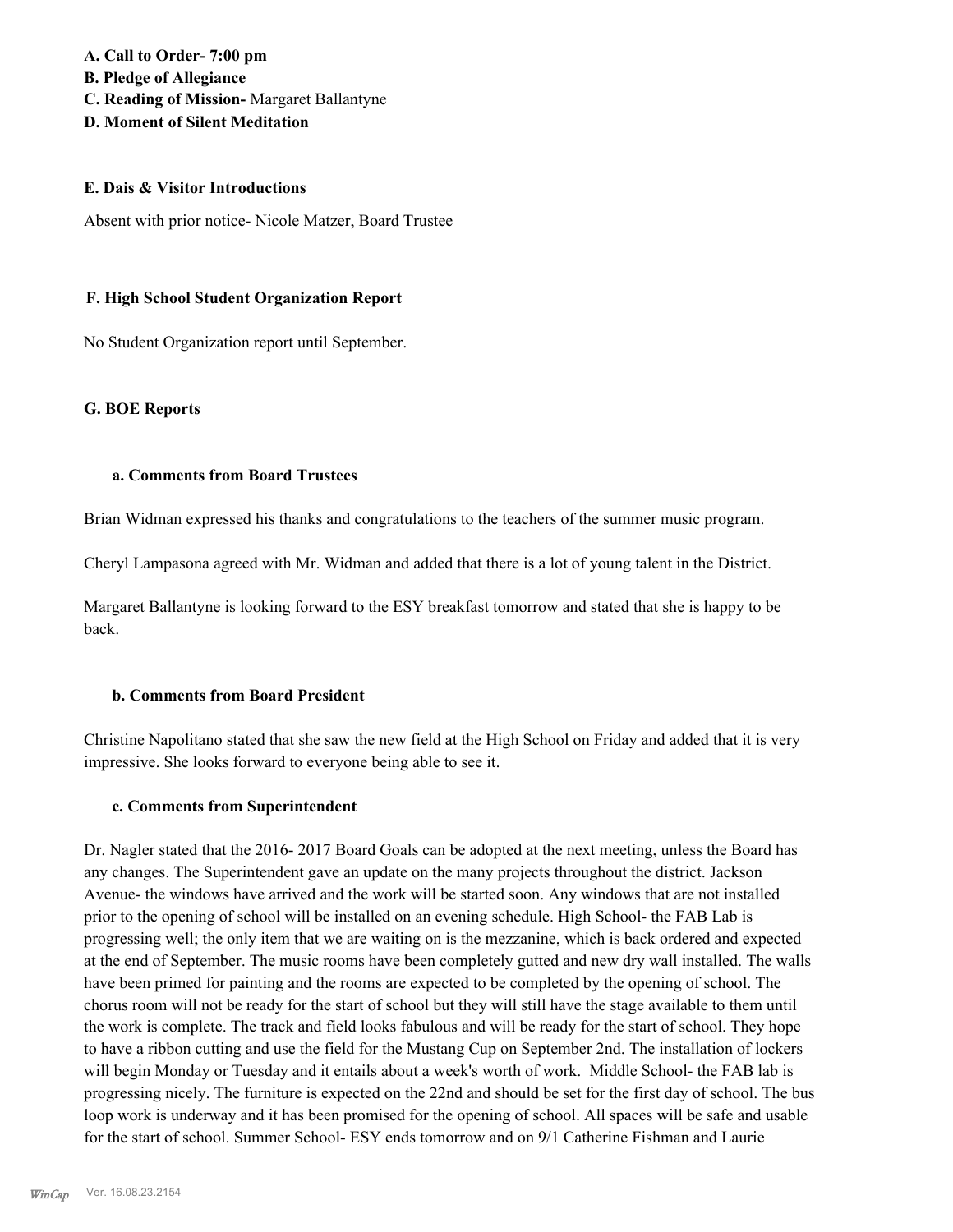**A. Call to Order- 7:00 pm B. Pledge of Allegiance C. Reading of Mission-** Margaret Ballantyne **D. Moment of Silent Meditation**

#### **E. Dais & Visitor Introductions**

Absent with prior notice- Nicole Matzer, Board Trustee

#### **F. High School Student Organization Report**

No Student Organization report until September.

#### **G. BOE Reports**

#### **a. Comments from Board Trustees**

Brian Widman expressed his thanks and congratulations to the teachers of the summer music program.

Cheryl Lampasona agreed with Mr. Widman and added that there is a lot of young talent in the District.

Margaret Ballantyne is looking forward to the ESY breakfast tomorrow and stated that she is happy to be back.

#### **b. Comments from Board President**

Christine Napolitano stated that she saw the new field at the High School on Friday and added that it is very impressive. She looks forward to everyone being able to see it.

#### **c. Comments from Superintendent**

Dr. Nagler stated that the 2016- 2017 Board Goals can be adopted at the next meeting, unless the Board has any changes. The Superintendent gave an update on the many projects throughout the district. Jackson Avenue- the windows have arrived and the work will be started soon. Any windows that are not installed prior to the opening of school will be installed on an evening schedule. High School- the FAB Lab is progressing well; the only item that we are waiting on is the mezzanine, which is back ordered and expected at the end of September. The music rooms have been completely gutted and new dry wall installed. The walls have been primed for painting and the rooms are expected to be completed by the opening of school. The chorus room will not be ready for the start of school but they will still have the stage available to them until the work is complete. The track and field looks fabulous and will be ready for the start of school. They hope to have a ribbon cutting and use the field for the Mustang Cup on September 2nd. The installation of lockers will begin Monday or Tuesday and it entails about a week's worth of work. Middle School- the FAB lab is progressing nicely. The furniture is expected on the 22nd and should be set for the first day of school. The bus loop work is underway and it has been promised for the opening of school. All spaces will be safe and usable for the start of school. Summer School- ESY ends tomorrow and on 9/1 Catherine Fishman and Laurie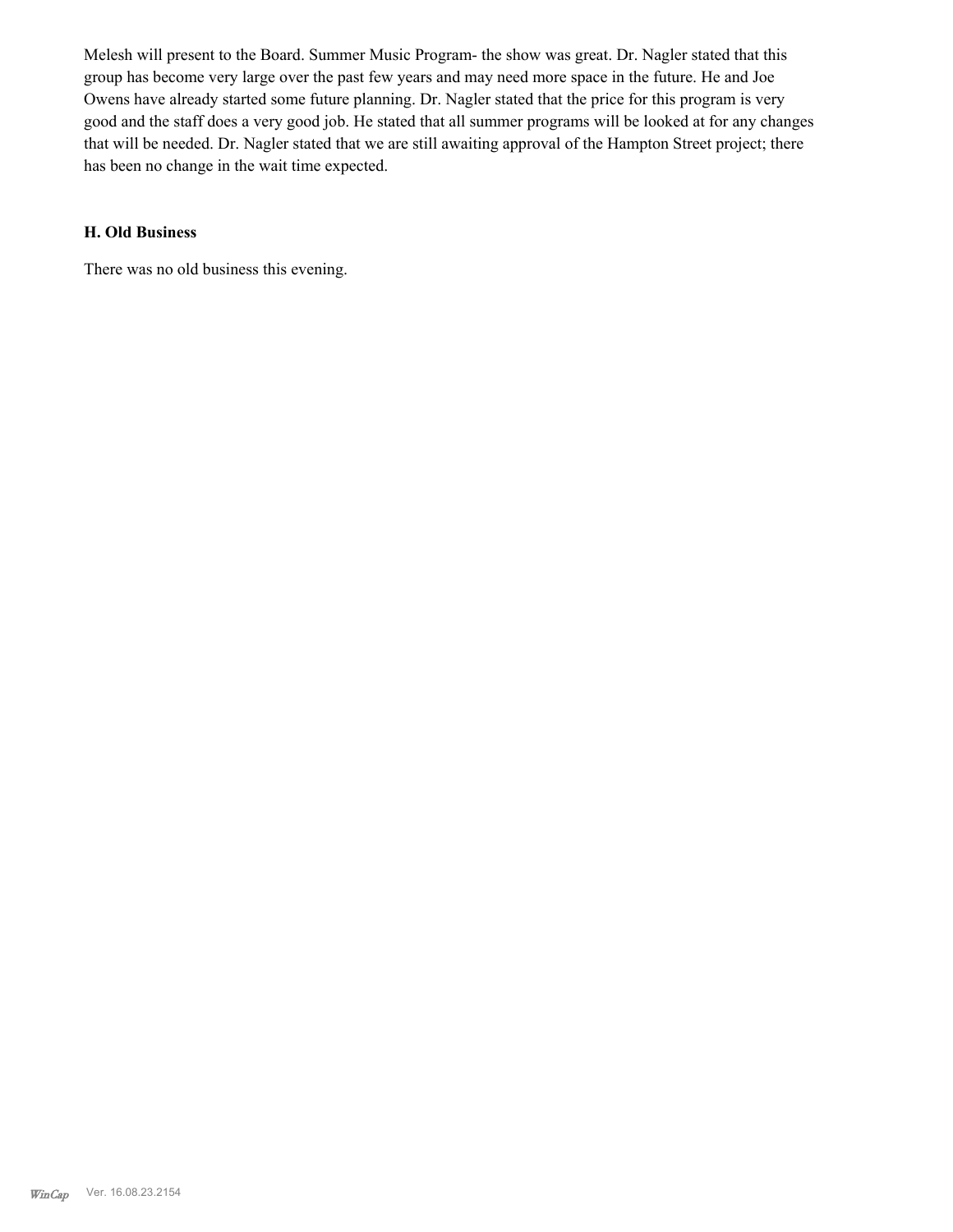Melesh will present to the Board. Summer Music Program- the show was great. Dr. Nagler stated that this group has become very large over the past few years and may need more space in the future. He and Joe Owens have already started some future planning. Dr. Nagler stated that the price for this program is very good and the staff does a very good job. He stated that all summer programs will be looked at for any changes that will be needed. Dr. Nagler stated that we are still awaiting approval of the Hampton Street project; there has been no change in the wait time expected.

#### **H. Old Business**

There was no old business this evening.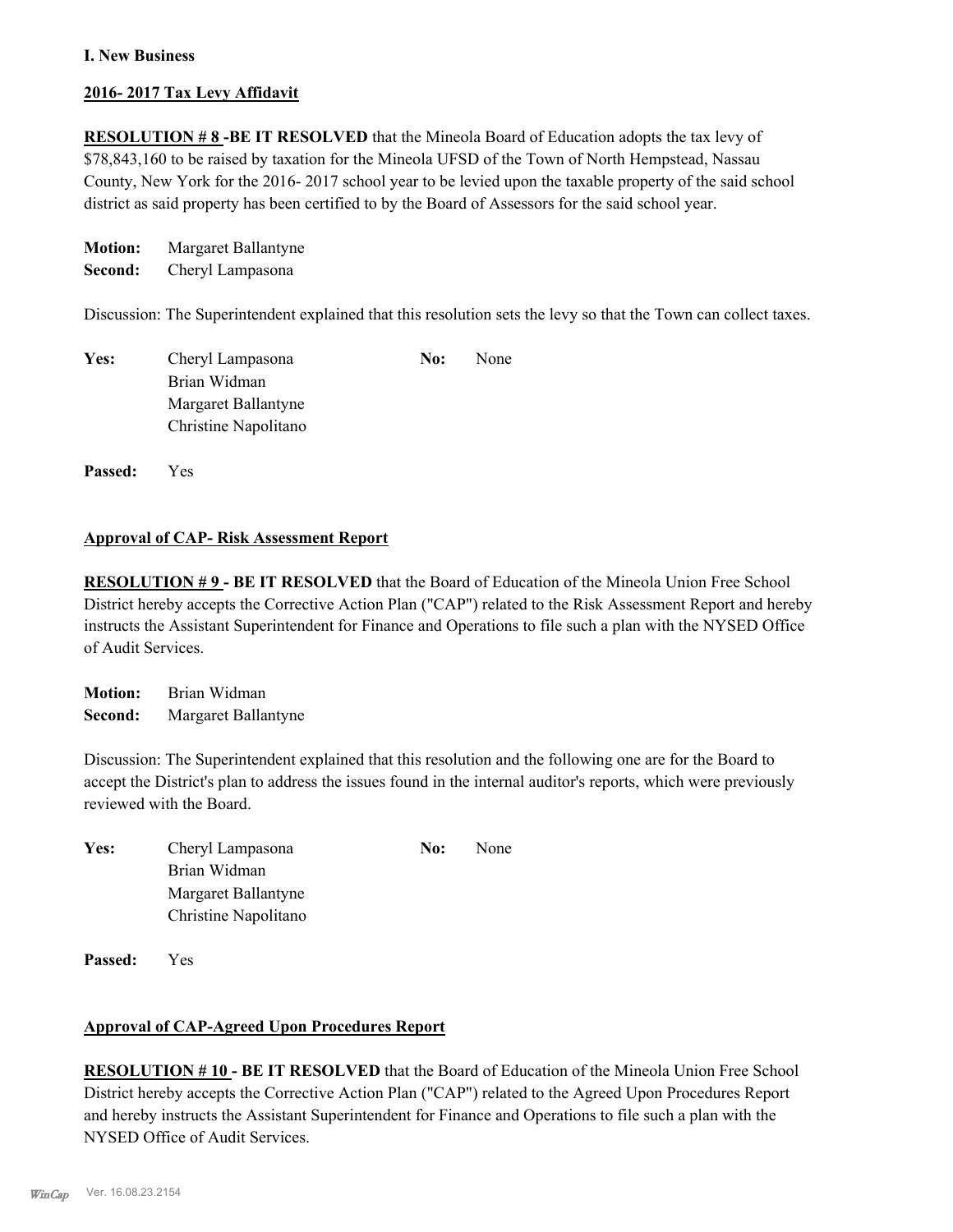#### **I. New Business**

#### **2016- 2017 Tax Levy Affidavit**

**RESOLUTION # 8 -BE IT RESOLVED** that the Mineola Board of Education adopts the tax levy of \$78,843,160 to be raised by taxation for the Mineola UFSD of the Town of North Hempstead, Nassau County, New York for the 2016- 2017 school year to be levied upon the taxable property of the said school district as said property has been certified to by the Board of Assessors for the said school year.

**Motion:** Margaret Ballantyne

**Second:** Cheryl Lampasona

Discussion: The Superintendent explained that this resolution sets the levy so that the Town can collect taxes.

| Yes: | Cheryl Lampasona     | No: | None |
|------|----------------------|-----|------|
|      | Brian Widman         |     |      |
|      | Margaret Ballantyne  |     |      |
|      | Christine Napolitano |     |      |
|      |                      |     |      |

**Passed:** Yes

#### **Approval of CAP- Risk Assessment Report**

**RESOLUTION # 9 - BE IT RESOLVED** that the Board of Education of the Mineola Union Free School District hereby accepts the Corrective Action Plan ("CAP") related to the Risk Assessment Report and hereby instructs the Assistant Superintendent for Finance and Operations to file such a plan with the NYSED Office of Audit Services.

**Motion:** Brian Widman **Second:** Margaret Ballantyne

Discussion: The Superintendent explained that this resolution and the following one are for the Board to accept the District's plan to address the issues found in the internal auditor's reports, which were previously reviewed with the Board.

| Yes: | Cheryl Lampasona     | No: | None |
|------|----------------------|-----|------|
|      | Brian Widman         |     |      |
|      | Margaret Ballantyne  |     |      |
|      | Christine Napolitano |     |      |

**Passed:** Yes

#### **Approval of CAP-Agreed Upon Procedures Report**

**RESOLUTION # 10 - BE IT RESOLVED** that the Board of Education of the Mineola Union Free School District hereby accepts the Corrective Action Plan ("CAP") related to the Agreed Upon Procedures Report and hereby instructs the Assistant Superintendent for Finance and Operations to file such a plan with the NYSED Office of Audit Services.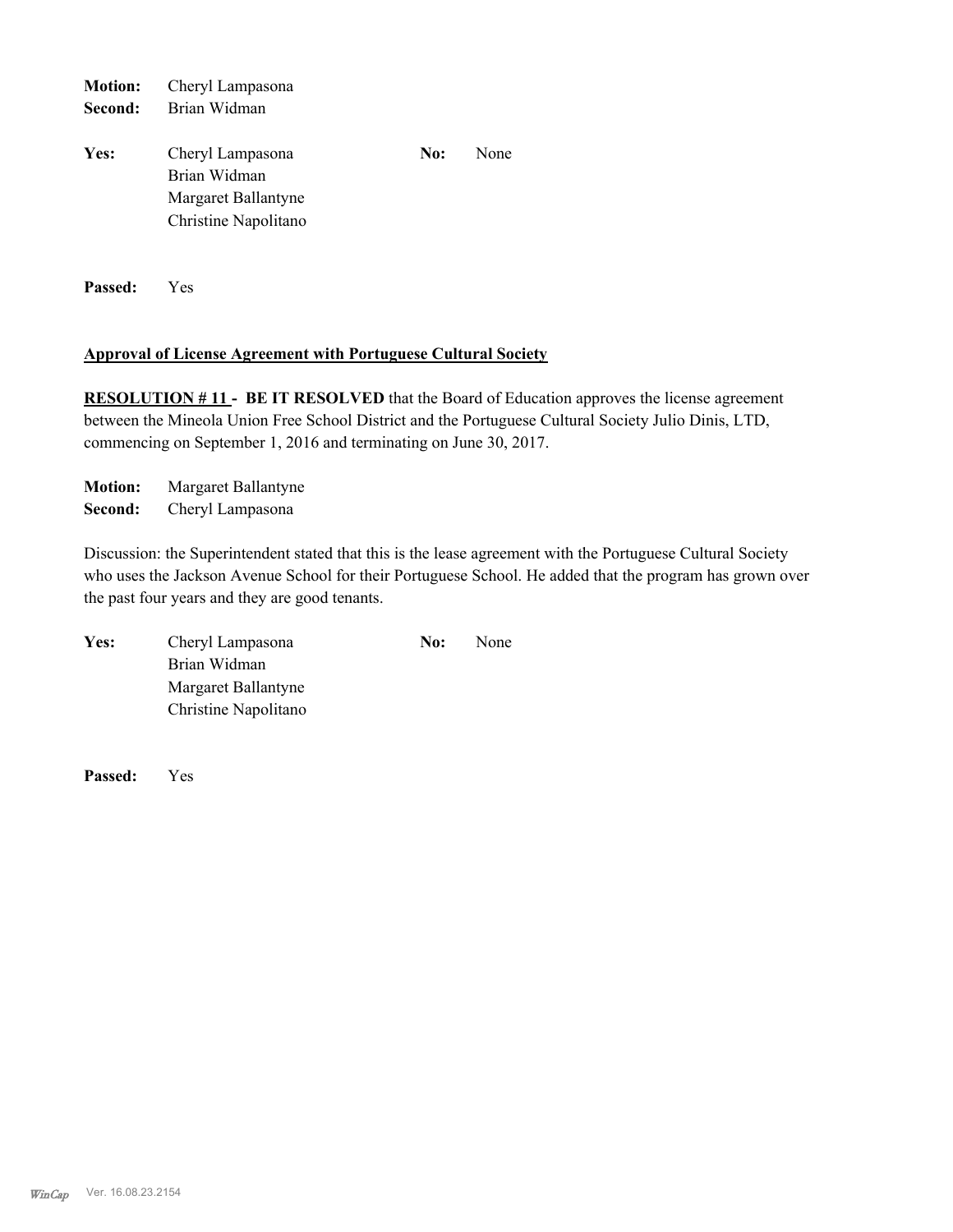| <b>Motion:</b> | Cheryl Lampasona                                                                |     |      |  |
|----------------|---------------------------------------------------------------------------------|-----|------|--|
| Second:        | Brian Widman                                                                    |     |      |  |
| Yes:           | Cheryl Lampasona<br>Brian Widman<br>Margaret Ballantyne<br>Christine Napolitano | No: | None |  |
|                |                                                                                 |     |      |  |

**Passed:** Yes

#### **Approval of License Agreement with Portuguese Cultural Society**

**RESOLUTION #11 - BE IT RESOLVED** that the Board of Education approves the license agreement between the Mineola Union Free School District and the Portuguese Cultural Society Julio Dinis, LTD, commencing on September 1, 2016 and terminating on June 30, 2017.

**Motion:** Margaret Ballantyne **Second:** Cheryl Lampasona

Discussion: the Superintendent stated that this is the lease agreement with the Portuguese Cultural Society who uses the Jackson Avenue School for their Portuguese School. He added that the program has grown over the past four years and they are good tenants.

| Yes: | Cheryl Lampasona     | No: | None |
|------|----------------------|-----|------|
|      | Brian Widman         |     |      |
|      | Margaret Ballantyne  |     |      |
|      | Christine Napolitano |     |      |

**Passed:** Yes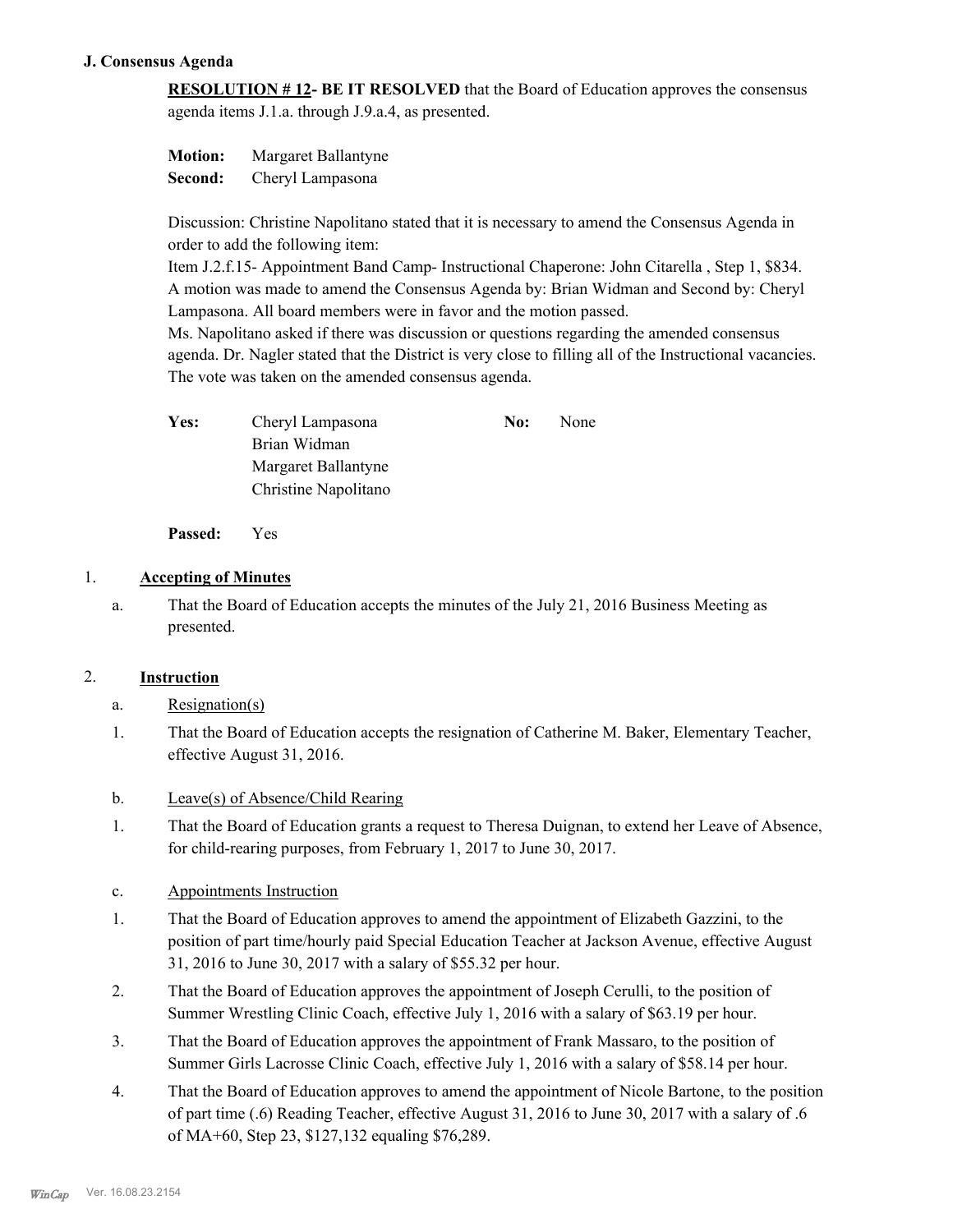#### **J. Consensus Agenda**

**RESOLUTION # 12- BE IT RESOLVED** that the Board of Education approves the consensus agenda items J.1.a. through J.9.a.4, as presented.

| <b>Motion:</b> | Margaret Ballantyne |
|----------------|---------------------|
| Second:        | Cheryl Lampasona    |

Discussion: Christine Napolitano stated that it is necessary to amend the Consensus Agenda in order to add the following item:

Item J.2.f.15- Appointment Band Camp- Instructional Chaperone: John Citarella , Step 1, \$834. A motion was made to amend the Consensus Agenda by: Brian Widman and Second by: Cheryl Lampasona. All board members were in favor and the motion passed.

Ms. Napolitano asked if there was discussion or questions regarding the amended consensus agenda. Dr. Nagler stated that the District is very close to filling all of the Instructional vacancies. The vote was taken on the amended consensus agenda.

| <b>Yes:</b> | Cheryl Lampasona     | No: | None |
|-------------|----------------------|-----|------|
|             | Brian Widman         |     |      |
|             | Margaret Ballantyne  |     |      |
|             | Christine Napolitano |     |      |

**Passed:** Yes

### 1. **Accepting of Minutes**

That the Board of Education accepts the minutes of the July 21, 2016 Business Meeting as presented. a.

#### 2. **Instruction**

- a. Resignation(s)
- That the Board of Education accepts the resignation of Catherine M. Baker, Elementary Teacher, effective August 31, 2016. 1.
- b. Leave(s) of Absence/Child Rearing
- That the Board of Education grants a request to Theresa Duignan, to extend her Leave of Absence, for child-rearing purposes, from February 1, 2017 to June 30, 2017. 1.

#### c. Appointments Instruction

- That the Board of Education approves to amend the appointment of Elizabeth Gazzini, to the position of part time/hourly paid Special Education Teacher at Jackson Avenue, effective August 31, 2016 to June 30, 2017 with a salary of \$55.32 per hour. 1.
- That the Board of Education approves the appointment of Joseph Cerulli, to the position of Summer Wrestling Clinic Coach, effective July 1, 2016 with a salary of \$63.19 per hour. 2.
- That the Board of Education approves the appointment of Frank Massaro, to the position of Summer Girls Lacrosse Clinic Coach, effective July 1, 2016 with a salary of \$58.14 per hour. 3.
- That the Board of Education approves to amend the appointment of Nicole Bartone, to the position of part time (.6) Reading Teacher, effective August 31, 2016 to June 30, 2017 with a salary of .6 of MA+60, Step 23, \$127,132 equaling \$76,289. 4.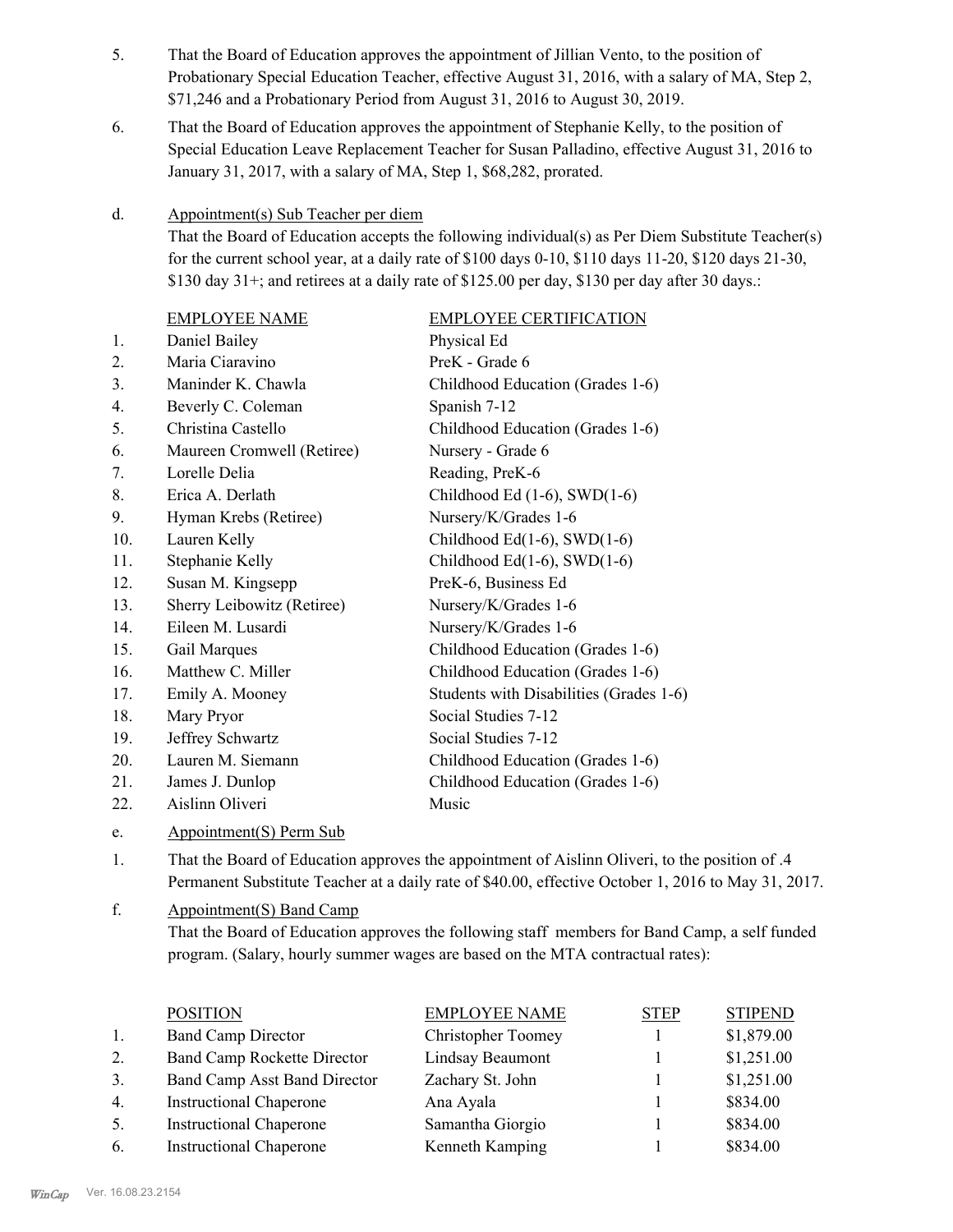- That the Board of Education approves the appointment of Jillian Vento, to the position of Probationary Special Education Teacher, effective August 31, 2016, with a salary of MA, Step 2, \$71,246 and a Probationary Period from August 31, 2016 to August 30, 2019. 5.
- That the Board of Education approves the appointment of Stephanie Kelly, to the position of Special Education Leave Replacement Teacher for Susan Palladino, effective August 31, 2016 to January 31, 2017, with a salary of MA, Step 1, \$68,282, prorated. 6.

#### Appointment(s) Sub Teacher per diem d.

That the Board of Education accepts the following individual(s) as Per Diem Substitute Teacher(s) for the current school year, at a daily rate of  $$100$  days  $0-10$ ,  $$110$  days  $11-20$ ,  $$120$  days  $21-30$ ,  $$130$  day  $31+$ ; and retirees at a daily rate of  $$125.00$  per day,  $$130$  per day after 30 days.:

|     | <b>EMPLOYEE NAME</b>       | <b>EMPLOYEE CERTIFICATION</b>           |
|-----|----------------------------|-----------------------------------------|
| 1.  | Daniel Bailey              | Physical Ed                             |
| 2.  | Maria Ciaravino            | PreK - Grade 6                          |
| 3.  | Maninder K. Chawla         | Childhood Education (Grades 1-6)        |
| 4.  | Beverly C. Coleman         | Spanish 7-12                            |
| 5.  | Christina Castello         | Childhood Education (Grades 1-6)        |
| 6.  | Maureen Cromwell (Retiree) | Nursery - Grade 6                       |
| 7.  | Lorelle Delia              | Reading, PreK-6                         |
| 8.  | Erica A. Derlath           | Childhood Ed $(1-6)$ , SWD $(1-6)$      |
| 9.  | Hyman Krebs (Retiree)      | Nursery/K/Grades 1-6                    |
| 10. | Lauren Kelly               | Childhood Ed $(1-6)$ , SWD $(1-6)$      |
| 11. | Stephanie Kelly            | Childhood Ed $(1-6)$ , SWD $(1-6)$      |
| 12. | Susan M. Kingsepp          | PreK-6, Business Ed                     |
| 13. | Sherry Leibowitz (Retiree) | Nursery/K/Grades 1-6                    |
| 14. | Eileen M. Lusardi          | Nursery/K/Grades 1-6                    |
| 15. | Gail Marques               | Childhood Education (Grades 1-6)        |
| 16. | Matthew C. Miller          | Childhood Education (Grades 1-6)        |
| 17. | Emily A. Mooney            | Students with Disabilities (Grades 1-6) |
| 18. | Mary Pryor                 | Social Studies 7-12                     |
| 19. | Jeffrey Schwartz           | Social Studies 7-12                     |
| 20. | Lauren M. Siemann          | Childhood Education (Grades 1-6)        |
| 21. | James J. Dunlop            | Childhood Education (Grades 1-6)        |
| 22. | Aislinn Oliveri            | Music                                   |
|     |                            |                                         |

e. Appointment(S) Perm Sub

That the Board of Education approves the appointment of Aislinn Oliveri, to the position of .4 Permanent Substitute Teacher at a daily rate of \$40.00, effective October 1, 2016 to May 31, 2017. 1.

Appointment(S) Band Camp That the Board of Education approves the following staff members for Band Camp, a self funded program. (Salary, hourly summer wages are based on the MTA contractual rates): f.

|                | <b>POSITION</b>                     | <b>EMPLOYEE NAME</b>      | <b>STEP</b> | <b>STIPEND</b> |
|----------------|-------------------------------------|---------------------------|-------------|----------------|
| 1.             | <b>Band Camp Director</b>           | <b>Christopher Toomey</b> |             | \$1,879.00     |
| 2.             | <b>Band Camp Rockette Director</b>  | Lindsay Beaumont          |             | \$1,251.00     |
| 3 <sub>1</sub> | <b>Band Camp Asst Band Director</b> | Zachary St. John          |             | \$1,251.00     |
| 4.             | <b>Instructional Chaperone</b>      | Ana Ayala                 |             | \$834.00       |
| 5.             | <b>Instructional Chaperone</b>      | Samantha Giorgio          |             | \$834.00       |
| 6.             | <b>Instructional Chaperone</b>      | Kenneth Kamping           |             | \$834.00       |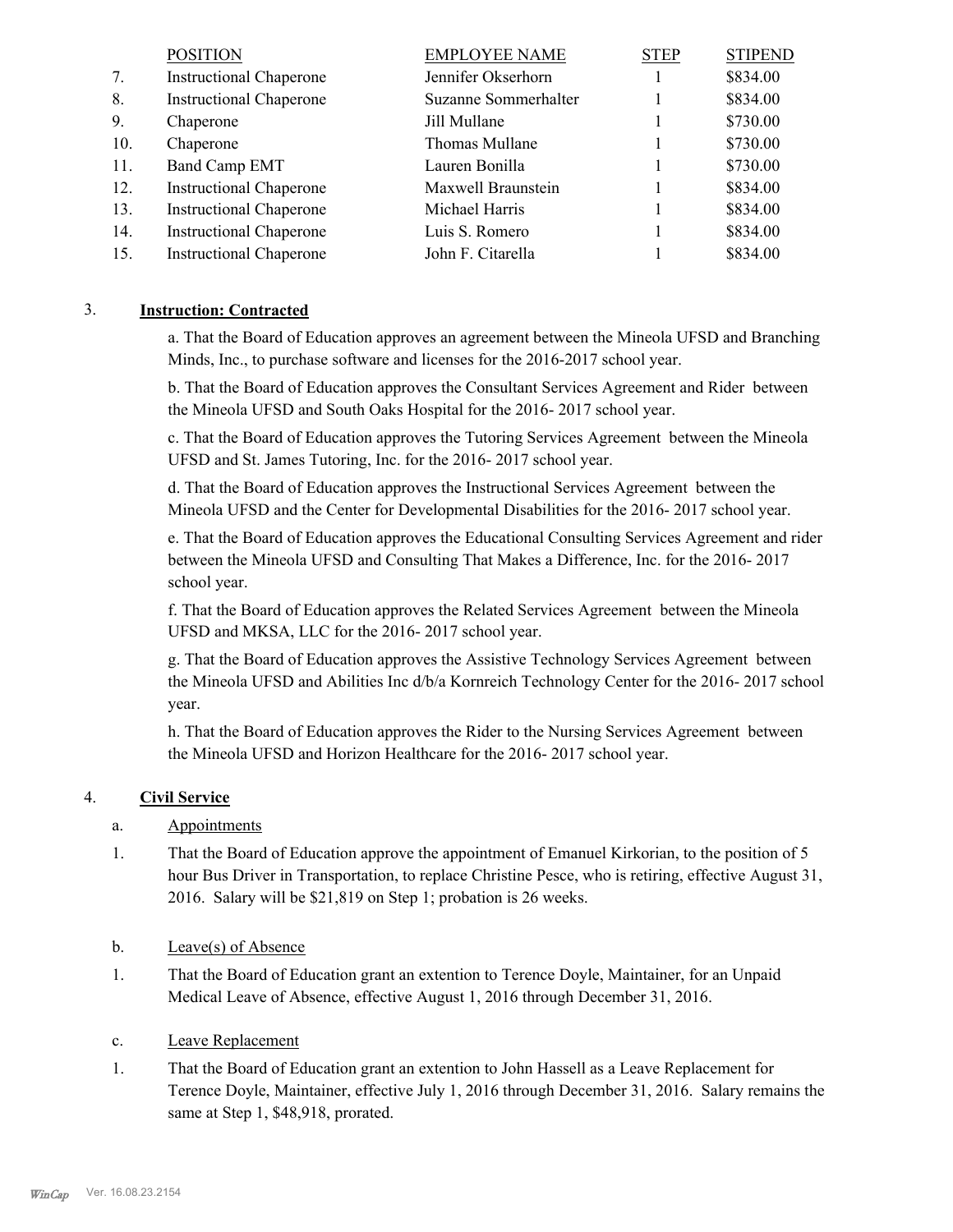|     | <b>POSITION</b>                | <b>EMPLOYEE NAME</b> | <b>STEP</b> | <b>STIPEND</b> |
|-----|--------------------------------|----------------------|-------------|----------------|
| 7.  | <b>Instructional Chaperone</b> | Jennifer Okserhorn   |             | \$834.00       |
| 8.  | <b>Instructional Chaperone</b> | Suzanne Sommerhalter |             | \$834.00       |
| 9.  | Chaperone                      | Jill Mullane         |             | \$730.00       |
| 10. | Chaperone                      | Thomas Mullane       |             | \$730.00       |
| 11. | Band Camp EMT                  | Lauren Bonilla       |             | \$730.00       |
| 12. | <b>Instructional Chaperone</b> | Maxwell Braunstein   |             | \$834.00       |
| 13. | <b>Instructional Chaperone</b> | Michael Harris       |             | \$834.00       |
| 14. | <b>Instructional Chaperone</b> | Luis S. Romero       |             | \$834.00       |
| 15. | <b>Instructional Chaperone</b> | John F. Citarella    |             | \$834.00       |

#### 3. **Instruction: Contracted**

a. That the Board of Education approves an agreement between the Mineola UFSD and Branching Minds, Inc., to purchase software and licenses for the 2016-2017 school year.

b. That the Board of Education approves the Consultant Services Agreement and Rider between the Mineola UFSD and South Oaks Hospital for the 2016- 2017 school year.

c. That the Board of Education approves the Tutoring Services Agreement between the Mineola UFSD and St. James Tutoring, Inc. for the 2016- 2017 school year.

d. That the Board of Education approves the Instructional Services Agreement between the Mineola UFSD and the Center for Developmental Disabilities for the 2016- 2017 school year.

e. That the Board of Education approves the Educational Consulting Services Agreement and rider between the Mineola UFSD and Consulting That Makes a Difference, Inc. for the 2016- 2017 school year.

f. That the Board of Education approves the Related Services Agreement between the Mineola UFSD and MKSA, LLC for the 2016- 2017 school year.

g. That the Board of Education approves the Assistive Technology Services Agreement between the Mineola UFSD and Abilities Inc d/b/a Kornreich Technology Center for the 2016- 2017 school year.

h. That the Board of Education approves the Rider to the Nursing Services Agreement between the Mineola UFSD and Horizon Healthcare for the 2016- 2017 school year.

#### 4. **Civil Service**

#### a. Appointments

That the Board of Education approve the appointment of Emanuel Kirkorian, to the position of 5 hour Bus Driver in Transportation, to replace Christine Pesce, who is retiring, effective August 31, 2016. Salary will be \$21,819 on Step 1; probation is 26 weeks. 1.

#### b. Leave(s) of Absence

- That the Board of Education grant an extention to Terence Doyle, Maintainer, for an Unpaid Medical Leave of Absence, effective August 1, 2016 through December 31, 2016. 1.
- c. Leave Replacement
- That the Board of Education grant an extention to John Hassell as a Leave Replacement for Terence Doyle, Maintainer, effective July 1, 2016 through December 31, 2016. Salary remains the same at Step 1, \$48,918, prorated. 1.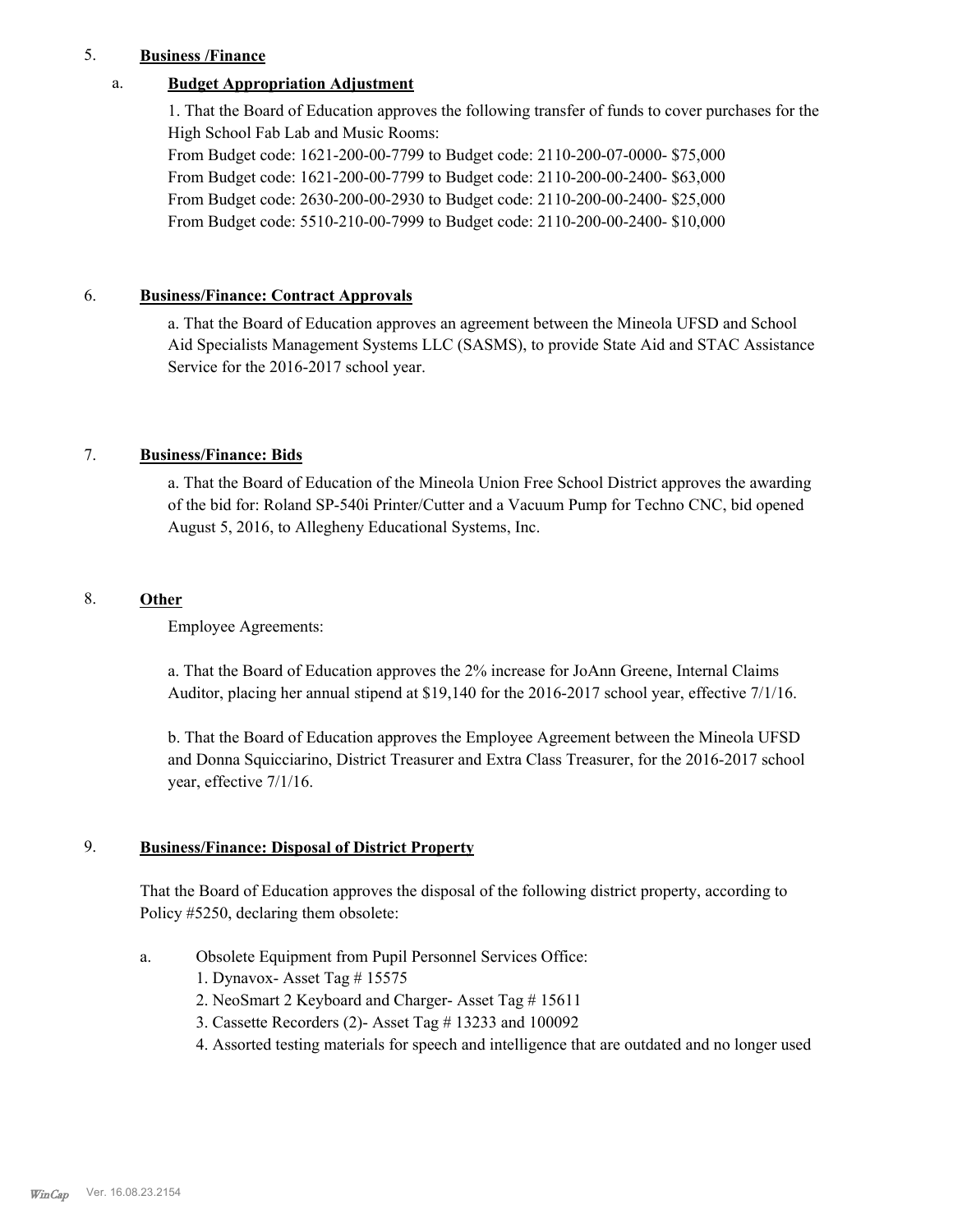#### 5. **Business /Finance**

#### a. **Budget Appropriation Adjustment**

1. That the Board of Education approves the following transfer of funds to cover purchases for the High School Fab Lab and Music Rooms:

From Budget code: 1621-200-00-7799 to Budget code: 2110-200-07-0000- \$75,000 From Budget code: 1621-200-00-7799 to Budget code: 2110-200-00-2400- \$63,000 From Budget code: 2630-200-00-2930 to Budget code: 2110-200-00-2400- \$25,000 From Budget code: 5510-210-00-7999 to Budget code: 2110-200-00-2400- \$10,000

#### 6. **Business/Finance: Contract Approvals**

a. That the Board of Education approves an agreement between the Mineola UFSD and School Aid Specialists Management Systems LLC (SASMS), to provide State Aid and STAC Assistance Service for the 2016-2017 school year.

#### 7. **Business/Finance: Bids**

a. That the Board of Education of the Mineola Union Free School District approves the awarding of the bid for: Roland SP-540i Printer/Cutter and a Vacuum Pump for Techno CNC, bid opened August 5, 2016, to Allegheny Educational Systems, Inc.

#### 8. **Other**

Employee Agreements:

a. That the Board of Education approves the 2% increase for JoAnn Greene, Internal Claims Auditor, placing her annual stipend at \$19,140 for the 2016-2017 school year, effective 7/1/16.

b. That the Board of Education approves the Employee Agreement between the Mineola UFSD and Donna Squicciarino, District Treasurer and Extra Class Treasurer, for the 2016-2017 school year, effective 7/1/16.

#### **Business/Finance: Disposal of District Property** 9.

That the Board of Education approves the disposal of the following district property, according to Policy #5250, declaring them obsolete:

- Obsolete Equipment from Pupil Personnel Services Office: a.
	- 1. Dynavox- Asset Tag # 15575
	- 2. NeoSmart 2 Keyboard and Charger- Asset Tag # 15611
	- 3. Cassette Recorders (2)- Asset Tag # 13233 and 100092
	- 4. Assorted testing materials for speech and intelligence that are outdated and no longer used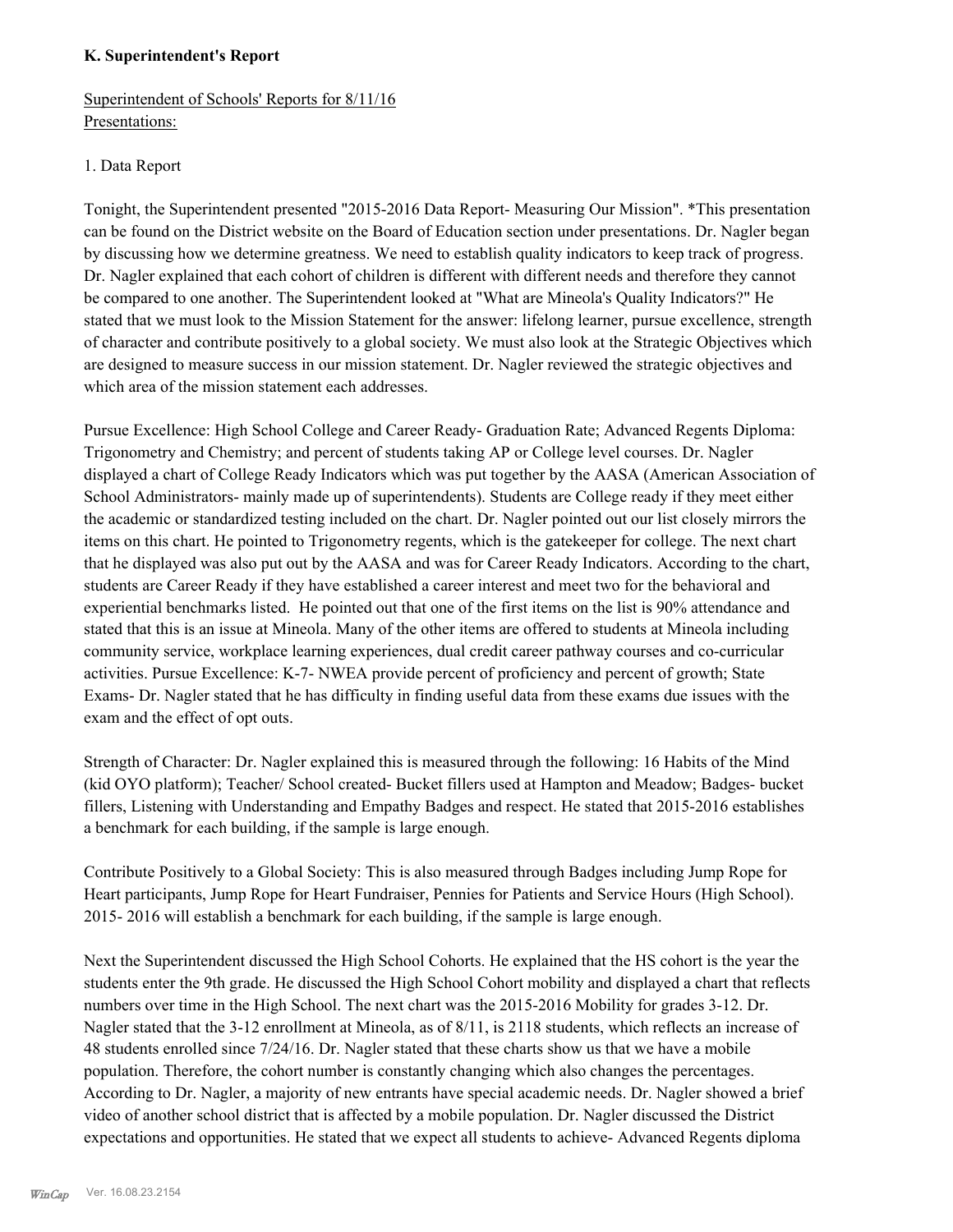#### **K. Superintendent's Report**

## Superintendent of Schools' Reports for 8/11/16 Presentations:

#### 1. Data Report

Tonight, the Superintendent presented "2015-2016 Data Report- Measuring Our Mission". \*This presentation can be found on the District website on the Board of Education section under presentations. Dr. Nagler began by discussing how we determine greatness. We need to establish quality indicators to keep track of progress. Dr. Nagler explained that each cohort of children is different with different needs and therefore they cannot be compared to one another. The Superintendent looked at "What are Mineola's Quality Indicators?" He stated that we must look to the Mission Statement for the answer: lifelong learner, pursue excellence, strength of character and contribute positively to a global society. We must also look at the Strategic Objectives which are designed to measure success in our mission statement. Dr. Nagler reviewed the strategic objectives and which area of the mission statement each addresses.

Pursue Excellence: High School College and Career Ready- Graduation Rate; Advanced Regents Diploma: Trigonometry and Chemistry; and percent of students taking AP or College level courses. Dr. Nagler displayed a chart of College Ready Indicators which was put together by the AASA (American Association of School Administrators- mainly made up of superintendents). Students are College ready if they meet either the academic or standardized testing included on the chart. Dr. Nagler pointed out our list closely mirrors the items on this chart. He pointed to Trigonometry regents, which is the gatekeeper for college. The next chart that he displayed was also put out by the AASA and was for Career Ready Indicators. According to the chart, students are Career Ready if they have established a career interest and meet two for the behavioral and experiential benchmarks listed. He pointed out that one of the first items on the list is 90% attendance and stated that this is an issue at Mineola. Many of the other items are offered to students at Mineola including community service, workplace learning experiences, dual credit career pathway courses and co-curricular activities. Pursue Excellence: K-7- NWEA provide percent of proficiency and percent of growth; State Exams- Dr. Nagler stated that he has difficulty in finding useful data from these exams due issues with the exam and the effect of opt outs.

Strength of Character: Dr. Nagler explained this is measured through the following: 16 Habits of the Mind (kid OYO platform); Teacher/ School created- Bucket fillers used at Hampton and Meadow; Badges- bucket fillers, Listening with Understanding and Empathy Badges and respect. He stated that 2015-2016 establishes a benchmark for each building, if the sample is large enough.

Contribute Positively to a Global Society: This is also measured through Badges including Jump Rope for Heart participants, Jump Rope for Heart Fundraiser, Pennies for Patients and Service Hours (High School). 2015- 2016 will establish a benchmark for each building, if the sample is large enough.

Next the Superintendent discussed the High School Cohorts. He explained that the HS cohort is the year the students enter the 9th grade. He discussed the High School Cohort mobility and displayed a chart that reflects numbers over time in the High School. The next chart was the 2015-2016 Mobility for grades 3-12. Dr. Nagler stated that the 3-12 enrollment at Mineola, as of 8/11, is 2118 students, which reflects an increase of 48 students enrolled since 7/24/16. Dr. Nagler stated that these charts show us that we have a mobile population. Therefore, the cohort number is constantly changing which also changes the percentages. According to Dr. Nagler, a majority of new entrants have special academic needs. Dr. Nagler showed a brief video of another school district that is affected by a mobile population. Dr. Nagler discussed the District expectations and opportunities. He stated that we expect all students to achieve- Advanced Regents diploma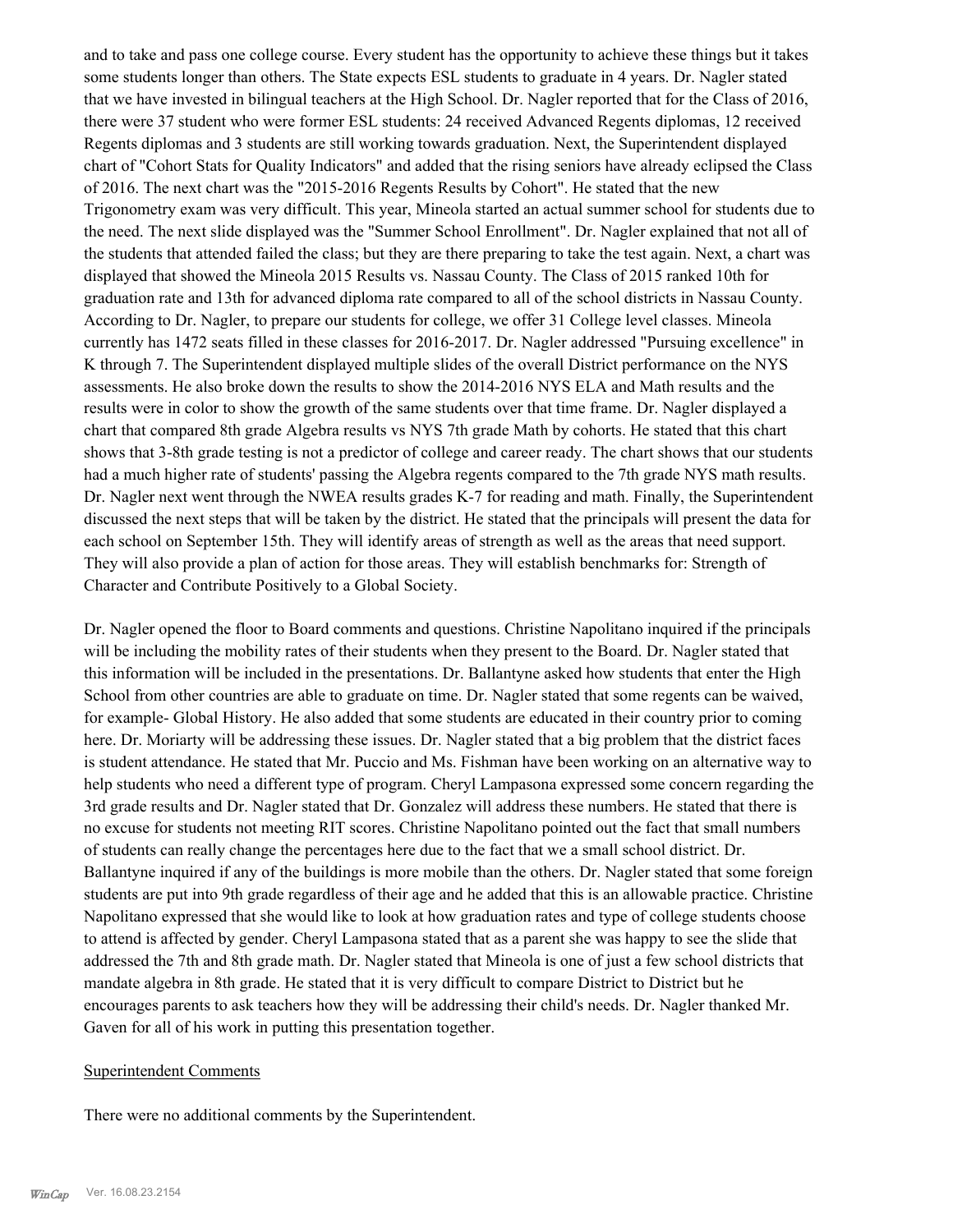and to take and pass one college course. Every student has the opportunity to achieve these things but it takes some students longer than others. The State expects ESL students to graduate in 4 years. Dr. Nagler stated that we have invested in bilingual teachers at the High School. Dr. Nagler reported that for the Class of 2016, there were 37 student who were former ESL students: 24 received Advanced Regents diplomas, 12 received Regents diplomas and 3 students are still working towards graduation. Next, the Superintendent displayed chart of "Cohort Stats for Quality Indicators" and added that the rising seniors have already eclipsed the Class of 2016. The next chart was the "2015-2016 Regents Results by Cohort". He stated that the new Trigonometry exam was very difficult. This year, Mineola started an actual summer school for students due to the need. The next slide displayed was the "Summer School Enrollment". Dr. Nagler explained that not all of the students that attended failed the class; but they are there preparing to take the test again. Next, a chart was displayed that showed the Mineola 2015 Results vs. Nassau County. The Class of 2015 ranked 10th for graduation rate and 13th for advanced diploma rate compared to all of the school districts in Nassau County. According to Dr. Nagler, to prepare our students for college, we offer 31 College level classes. Mineola currently has 1472 seats filled in these classes for 2016-2017. Dr. Nagler addressed "Pursuing excellence" in K through 7. The Superintendent displayed multiple slides of the overall District performance on the NYS assessments. He also broke down the results to show the 2014-2016 NYS ELA and Math results and the results were in color to show the growth of the same students over that time frame. Dr. Nagler displayed a chart that compared 8th grade Algebra results vs NYS 7th grade Math by cohorts. He stated that this chart shows that 3-8th grade testing is not a predictor of college and career ready. The chart shows that our students had a much higher rate of students' passing the Algebra regents compared to the 7th grade NYS math results. Dr. Nagler next went through the NWEA results grades K-7 for reading and math. Finally, the Superintendent discussed the next steps that will be taken by the district. He stated that the principals will present the data for each school on September 15th. They will identify areas of strength as well as the areas that need support. They will also provide a plan of action for those areas. They will establish benchmarks for: Strength of Character and Contribute Positively to a Global Society.

Dr. Nagler opened the floor to Board comments and questions. Christine Napolitano inquired if the principals will be including the mobility rates of their students when they present to the Board. Dr. Nagler stated that this information will be included in the presentations. Dr. Ballantyne asked how students that enter the High School from other countries are able to graduate on time. Dr. Nagler stated that some regents can be waived, for example- Global History. He also added that some students are educated in their country prior to coming here. Dr. Moriarty will be addressing these issues. Dr. Nagler stated that a big problem that the district faces is student attendance. He stated that Mr. Puccio and Ms. Fishman have been working on an alternative way to help students who need a different type of program. Cheryl Lampasona expressed some concern regarding the 3rd grade results and Dr. Nagler stated that Dr. Gonzalez will address these numbers. He stated that there is no excuse for students not meeting RIT scores. Christine Napolitano pointed out the fact that small numbers of students can really change the percentages here due to the fact that we a small school district. Dr. Ballantyne inquired if any of the buildings is more mobile than the others. Dr. Nagler stated that some foreign students are put into 9th grade regardless of their age and he added that this is an allowable practice. Christine Napolitano expressed that she would like to look at how graduation rates and type of college students choose to attend is affected by gender. Cheryl Lampasona stated that as a parent she was happy to see the slide that addressed the 7th and 8th grade math. Dr. Nagler stated that Mineola is one of just a few school districts that mandate algebra in 8th grade. He stated that it is very difficult to compare District to District but he encourages parents to ask teachers how they will be addressing their child's needs. Dr. Nagler thanked Mr. Gaven for all of his work in putting this presentation together.

#### Superintendent Comments

There were no additional comments by the Superintendent.